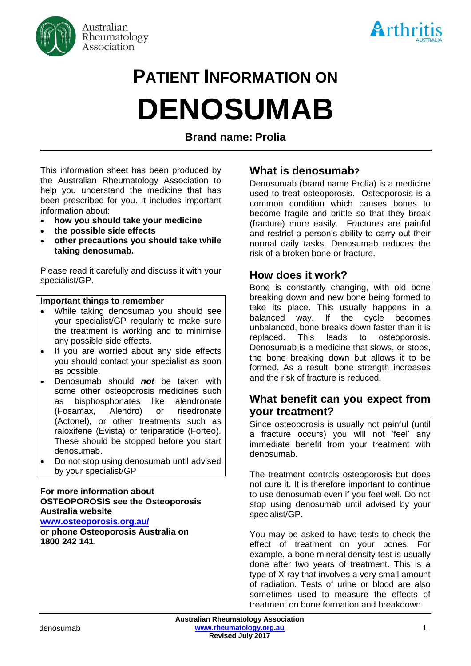



# **PATIENT INFORMATION ON DENOSUMAB**

**Brand name: Prolia**

This information sheet has been produced by the Australian Rheumatology Association to help you understand the medicine that has been prescribed for you. It includes important information about:

- **how you should take your medicine**
- **the possible side effects**
- **other precautions you should take while taking denosumab.**

Please read it carefully and discuss it with your specialist/GP.

#### **Important things to remember**

- While taking denosumab you should see your specialist/GP regularly to make sure the treatment is working and to minimise any possible side effects.
- If you are worried about any side effects you should contact your specialist as soon as possible.
- Denosumab should *not* be taken with some other osteoporosis medicines such as bisphosphonates like alendronate (Fosamax, Alendro) or risedronate (Actonel), or other treatments such as raloxifene (Evista) or teriparatide (Forteo). These should be stopped before you start denosumab.
- Do not stop using denosumab until advised by your specialist/GP

#### **For more information about OSTEOPOROSIS see the Osteoporosis Australia website**

**[www.osteoporosis.org.au/](http://www.osteoporosis.org.au/)**

**or phone Osteoporosis Australia on 1800 242 141**.

## **What is denosumab?**

Denosumab (brand name Prolia) is a medicine used to treat osteoporosis. Osteoporosis is a common condition which causes bones to become fragile and brittle so that they break (fracture) more easily. Fractures are painful and restrict a person's ability to carry out their normal daily tasks. Denosumab reduces the risk of a broken bone or fracture.

## **How does it work?**

Bone is constantly changing, with old bone breaking down and new bone being formed to take its place. This usually happens in a balanced way. If the cycle becomes unbalanced, bone breaks down faster than it is replaced. This leads to osteoporosis. Denosumab is a medicine that slows, or stops, the bone breaking down but allows it to be formed. As a result, bone strength increases and the risk of fracture is reduced.

## **What benefit can you expect from your treatment?**

Since osteoporosis is usually not painful (until a fracture occurs) you will not 'feel' any immediate benefit from your treatment with denosumab.

The treatment controls osteoporosis but does not cure it. It is therefore important to continue to use denosumab even if you feel well. Do not stop using denosumab until advised by your specialist/GP.

You may be asked to have tests to check the effect of treatment on your bones. For example, a bone mineral density test is usually done after two years of treatment. This is a type of X-ray that involves a very small amount of radiation. Tests of urine or blood are also sometimes used to measure the effects of treatment on bone formation and breakdown.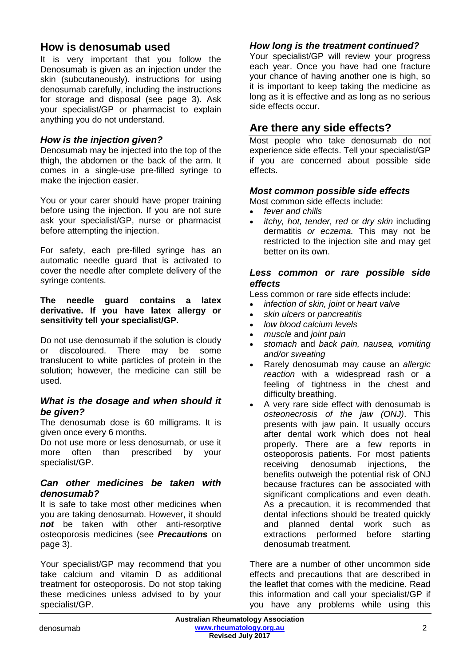# **How is denosumab used**

It is very important that you follow the Denosumab is given as an injection under the skin (subcutaneously). instructions for using denosumab carefully, including the instructions for storage and disposal (see page 3). Ask your specialist/GP or pharmacist to explain anything you do not understand.

## *How is the injection given?*

Denosumab may be injected into the top of the thigh, the abdomen or the back of the arm. It comes in a single-use pre-filled syringe to make the injection easier.

You or your carer should have proper training before using the injection. If you are not sure ask your specialist/GP, nurse or pharmacist before attempting the injection.

For safety, each pre-filled syringe has an automatic needle guard that is activated to cover the needle after complete delivery of the syringe contents.

#### **The needle guard contains a latex derivative. If you have latex allergy or sensitivity tell your specialist/GP.**

Do not use denosumab if the solution is cloudy or discoloured. There may be some translucent to white particles of protein in the solution; however, the medicine can still be used.

## *What is the dosage and when should it be given?*

The denosumab dose is 60 milligrams. It is given once every 6 months.

Do not use more or less denosumab, or use it more often than prescribed by your specialist/GP.

#### *Can other medicines be taken with denosumab?*

It is safe to take most other medicines when you are taking denosumab. However, it should *not* be taken with other anti-resorptive osteoporosis medicines (see *Precautions* on page 3).

Your specialist/GP may recommend that you take calcium and vitamin D as additional treatment for osteoporosis. Do not stop taking these medicines unless advised to by your specialist/GP.

## *How long is the treatment continued?*

Your specialist/GP will review your progress each year. Once you have had one fracture your chance of having another one is high, so it is important to keep taking the medicine as long as it is effective and as long as no serious side effects occur.

# **Are there any side effects?**

Most people who take denosumab do not experience side effects. Tell your specialist/GP if you are concerned about possible side effects.

## *Most common possible side effects*

Most common side effects include:

- *fever and chills*
- *itchy, hot, tender, red* or *dry skin* including dermatitis *or eczema.* This may not be restricted to the injection site and may get better on its own.

#### *Less common or rare possible side effects*

Less common or rare side effects include:

- *infection of skin, joint* or *heart valve*
- *skin ulcers* or *pancreatitis*
- *low blood calcium levels*
- *muscle* and *joint pain*
- *stomach* and *back pain, nausea, vomiting and/or sweating*
- Rarely denosumab may cause an *allergic reaction* with a widespread rash or a feeling of tightness in the chest and difficulty breathing.
- A very rare side effect with denosumab is *osteonecrosis of the jaw (ONJ)*. This presents with jaw pain. It usually occurs after dental work which does not heal properly. There are a few reports in osteoporosis patients. For most patients receiving denosumab injections, the benefits outweigh the potential risk of ONJ because fractures can be associated with significant complications and even death. As a precaution, it is recommended that dental infections should be treated quickly and planned dental work such as extractions performed before starting denosumab treatment.

There are a number of other uncommon side effects and precautions that are described in the leaflet that comes with the medicine. Read this information and call your specialist/GP if you have any problems while using this